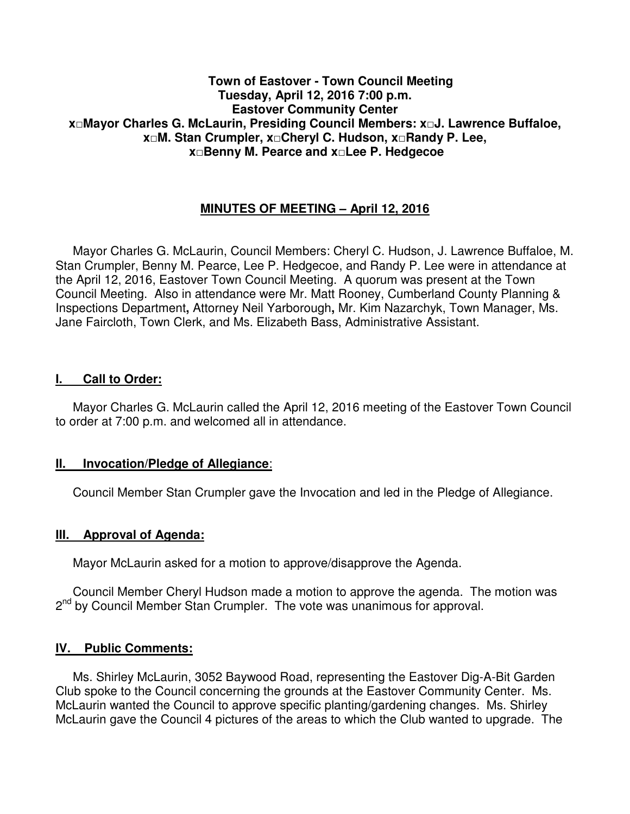#### **Town of Eastover - Town Council Meeting Tuesday, April 12, 2016 7:00 p.m. Eastover Community Center x□Mayor Charles G. McLaurin, Presiding Council Members: x□J. Lawrence Buffaloe, x□M. Stan Crumpler, x□Cheryl C. Hudson, x□Randy P. Lee, x□Benny M. Pearce and x□Lee P. Hedgecoe**

# **MINUTES OF MEETING – April 12, 2016**

 Mayor Charles G. McLaurin, Council Members: Cheryl C. Hudson, J. Lawrence Buffaloe, M. Stan Crumpler, Benny M. Pearce, Lee P. Hedgecoe, and Randy P. Lee were in attendance at the April 12, 2016, Eastover Town Council Meeting. A quorum was present at the Town Council Meeting. Also in attendance were Mr. Matt Rooney, Cumberland County Planning & Inspections Department**,** Attorney Neil Yarborough**,** Mr. Kim Nazarchyk, Town Manager, Ms. Jane Faircloth, Town Clerk, and Ms. Elizabeth Bass, Administrative Assistant.

#### **I. Call to Order:**

 Mayor Charles G. McLaurin called the April 12, 2016 meeting of the Eastover Town Council to order at 7:00 p.m. and welcomed all in attendance.

#### **II. Invocation/Pledge of Allegiance**:

Council Member Stan Crumpler gave the Invocation and led in the Pledge of Allegiance.

#### **III. Approval of Agenda:**

Mayor McLaurin asked for a motion to approve/disapprove the Agenda.

 Council Member Cheryl Hudson made a motion to approve the agenda. The motion was 2<sup>nd</sup> by Council Member Stan Crumpler. The vote was unanimous for approval.

#### **IV. Public Comments:**

 Ms. Shirley McLaurin, 3052 Baywood Road, representing the Eastover Dig-A-Bit Garden Club spoke to the Council concerning the grounds at the Eastover Community Center. Ms. McLaurin wanted the Council to approve specific planting/gardening changes. Ms. Shirley McLaurin gave the Council 4 pictures of the areas to which the Club wanted to upgrade. The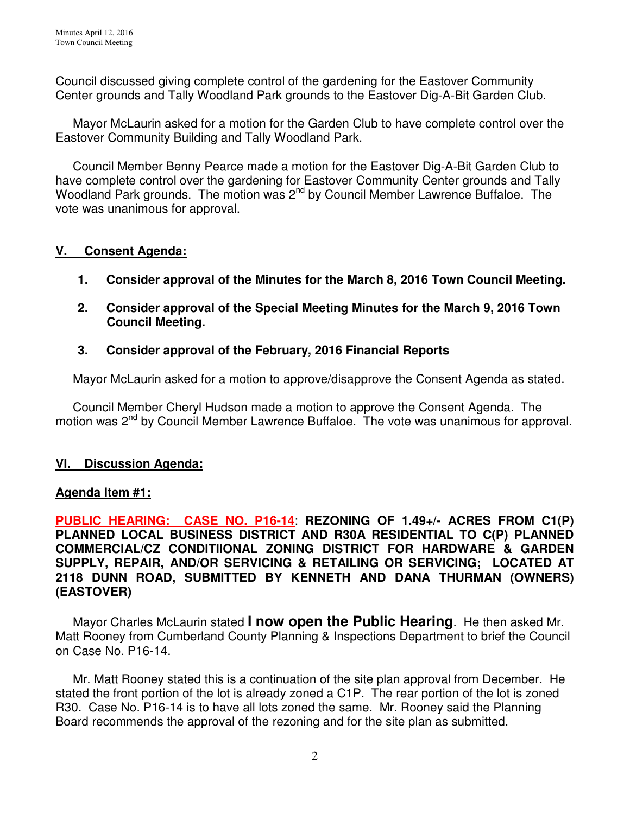Council discussed giving complete control of the gardening for the Eastover Community Center grounds and Tally Woodland Park grounds to the Eastover Dig-A-Bit Garden Club.

 Mayor McLaurin asked for a motion for the Garden Club to have complete control over the Eastover Community Building and Tally Woodland Park.

 Council Member Benny Pearce made a motion for the Eastover Dig-A-Bit Garden Club to have complete control over the gardening for Eastover Community Center grounds and Tally Woodland Park grounds. The motion was 2<sup>nd</sup> by Council Member Lawrence Buffaloe. The vote was unanimous for approval.

## **V. Consent Agenda:**

- **1. Consider approval of the Minutes for the March 8, 2016 Town Council Meeting.**
- **2. Consider approval of the Special Meeting Minutes for the March 9, 2016 Town Council Meeting.**

## **3. Consider approval of the February, 2016 Financial Reports**

Mayor McLaurin asked for a motion to approve/disapprove the Consent Agenda as stated.

 Council Member Cheryl Hudson made a motion to approve the Consent Agenda. The motion was 2<sup>nd</sup> by Council Member Lawrence Buffaloe. The vote was unanimous for approval.

### **VI. Discussion Agenda:**

### **Agenda Item #1:**

**PUBLIC HEARING: CASE NO. P16-14**: **REZONING OF 1.49+/- ACRES FROM C1(P) PLANNED LOCAL BUSINESS DISTRICT AND R30A RESIDENTIAL TO C(P) PLANNED COMMERCIAL/CZ CONDITIIONAL ZONING DISTRICT FOR HARDWARE & GARDEN SUPPLY, REPAIR, AND/OR SERVICING & RETAILING OR SERVICING; LOCATED AT 2118 DUNN ROAD, SUBMITTED BY KENNETH AND DANA THURMAN (OWNERS) (EASTOVER)** 

 Mayor Charles McLaurin stated **I now open the Public Hearing**. He then asked Mr. Matt Rooney from Cumberland County Planning & Inspections Department to brief the Council on Case No. P16-14.

 Mr. Matt Rooney stated this is a continuation of the site plan approval from December. He stated the front portion of the lot is already zoned a C1P. The rear portion of the lot is zoned R30. Case No. P16-14 is to have all lots zoned the same. Mr. Rooney said the Planning Board recommends the approval of the rezoning and for the site plan as submitted.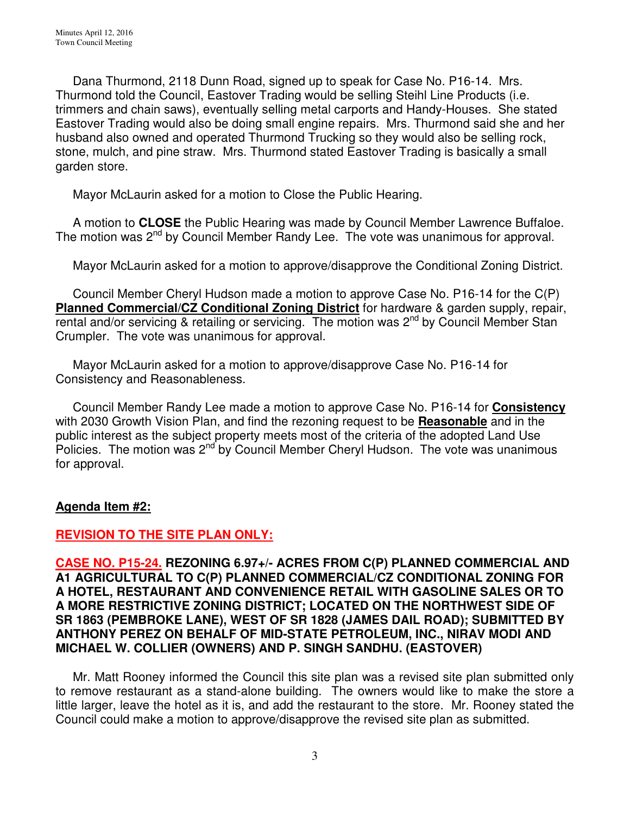Dana Thurmond, 2118 Dunn Road, signed up to speak for Case No. P16-14. Mrs. Thurmond told the Council, Eastover Trading would be selling Steihl Line Products (i.e. trimmers and chain saws), eventually selling metal carports and Handy-Houses. She stated Eastover Trading would also be doing small engine repairs. Mrs. Thurmond said she and her husband also owned and operated Thurmond Trucking so they would also be selling rock, stone, mulch, and pine straw. Mrs. Thurmond stated Eastover Trading is basically a small garden store.

Mayor McLaurin asked for a motion to Close the Public Hearing.

 A motion to **CLOSE** the Public Hearing was made by Council Member Lawrence Buffaloe. The motion was  $2^{nd}$  by Council Member Randy Lee. The vote was unanimous for approval.

Mayor McLaurin asked for a motion to approve/disapprove the Conditional Zoning District.

 Council Member Cheryl Hudson made a motion to approve Case No. P16-14 for the C(P) **Planned Commercial/CZ Conditional Zoning District** for hardware & garden supply, repair, rental and/or servicing & retailing or servicing. The motion was 2<sup>nd</sup> by Council Member Stan Crumpler. The vote was unanimous for approval.

 Mayor McLaurin asked for a motion to approve/disapprove Case No. P16-14 for Consistency and Reasonableness.

 Council Member Randy Lee made a motion to approve Case No. P16-14 for **Consistency** with 2030 Growth Vision Plan, and find the rezoning request to be **Reasonable** and in the public interest as the subject property meets most of the criteria of the adopted Land Use Policies. The motion was 2<sup>nd</sup> by Council Member Cheryl Hudson. The vote was unanimous for approval.

### **Agenda Item #2:**

### **REVISION TO THE SITE PLAN ONLY:**

**CASE NO. P15-24. REZONING 6.97+/- ACRES FROM C(P) PLANNED COMMERCIAL AND A1 AGRICULTURAL TO C(P) PLANNED COMMERCIAL/CZ CONDITIONAL ZONING FOR A HOTEL, RESTAURANT AND CONVENIENCE RETAIL WITH GASOLINE SALES OR TO A MORE RESTRICTIVE ZONING DISTRICT; LOCATED ON THE NORTHWEST SIDE OF SR 1863 (PEMBROKE LANE), WEST OF SR 1828 (JAMES DAIL ROAD); SUBMITTED BY ANTHONY PEREZ ON BEHALF OF MID-STATE PETROLEUM, INC., NIRAV MODI AND MICHAEL W. COLLIER (OWNERS) AND P. SINGH SANDHU. (EASTOVER)**

 Mr. Matt Rooney informed the Council this site plan was a revised site plan submitted only to remove restaurant as a stand-alone building. The owners would like to make the store a little larger, leave the hotel as it is, and add the restaurant to the store. Mr. Rooney stated the Council could make a motion to approve/disapprove the revised site plan as submitted.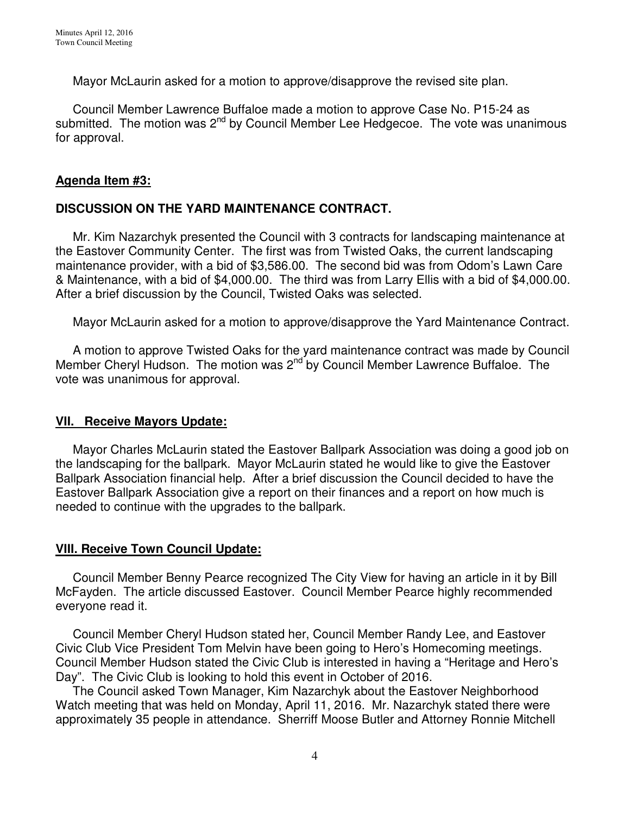Mayor McLaurin asked for a motion to approve/disapprove the revised site plan.

 Council Member Lawrence Buffaloe made a motion to approve Case No. P15-24 as submitted. The motion was  $2<sup>nd</sup>$  by Council Member Lee Hedgecoe. The vote was unanimous for approval.

### **Agenda Item #3:**

## **DISCUSSION ON THE YARD MAINTENANCE CONTRACT.**

Mr. Kim Nazarchyk presented the Council with 3 contracts for landscaping maintenance at the Eastover Community Center. The first was from Twisted Oaks, the current landscaping maintenance provider, with a bid of \$3,586.00. The second bid was from Odom's Lawn Care & Maintenance, with a bid of \$4,000.00. The third was from Larry Ellis with a bid of \$4,000.00. After a brief discussion by the Council, Twisted Oaks was selected.

Mayor McLaurin asked for a motion to approve/disapprove the Yard Maintenance Contract.

 A motion to approve Twisted Oaks for the yard maintenance contract was made by Council Member Cheryl Hudson. The motion was 2<sup>nd</sup> by Council Member Lawrence Buffaloe. The vote was unanimous for approval.

## **VII. Receive Mayors Update:**

 Mayor Charles McLaurin stated the Eastover Ballpark Association was doing a good job on the landscaping for the ballpark. Mayor McLaurin stated he would like to give the Eastover Ballpark Association financial help. After a brief discussion the Council decided to have the Eastover Ballpark Association give a report on their finances and a report on how much is needed to continue with the upgrades to the ballpark.

## **VIII. Receive Town Council Update:**

 Council Member Benny Pearce recognized The City View for having an article in it by Bill McFayden. The article discussed Eastover. Council Member Pearce highly recommended everyone read it.

 Council Member Cheryl Hudson stated her, Council Member Randy Lee, and Eastover Civic Club Vice President Tom Melvin have been going to Hero's Homecoming meetings. Council Member Hudson stated the Civic Club is interested in having a "Heritage and Hero's Day". The Civic Club is looking to hold this event in October of 2016.

 The Council asked Town Manager, Kim Nazarchyk about the Eastover Neighborhood Watch meeting that was held on Monday, April 11, 2016. Mr. Nazarchyk stated there were approximately 35 people in attendance. Sherriff Moose Butler and Attorney Ronnie Mitchell